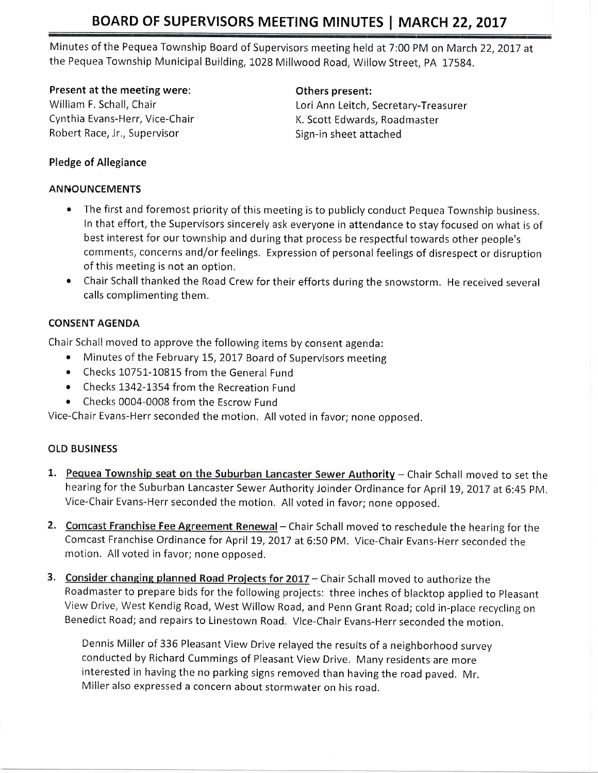Minutes of the Pequea Township Board of Supervisors meeting held at 7:00 PM on March 22, 2017 at the Pequea Township Municipal Building, 1028 Millwood Road, Willow Street, PA 17584.

## Present at the meeting were: The manner of the present:

Cynthia Evans-Herr, Vice-Chair Manuel A. Scott Edwards, Roadmaster Robert Race, Jr., Supervisor Sign-in sheet attached

William F. Schall, Chair Lori Ann Leitch, Secretary-Treasurer

## Pledge of Allegiance

## ANNOUNCEMENTS

- The first and foremost priority of this meeting is to publicly conduct Pequea Township business. In that effort, the Supervisors sincerely ask everyone in atterndance to stav focused on what is of best interest for our township and during that process be respectful towards other people's comments, concerns and/or feelings. Expression of personal feelings of disrespect or disruption of this meeting is not an option,
- o Chair Schall thanked the Road Crew for their efforts during the snowstorm. He received several calls complimenting them.

# CONSENT AGENDA

Chair Schall moved to approve the following items by consent agenda:

- Minutes of the February 15, 2017 Board of Supervisors meeting
- . Checks 10751-10815 from the General Fund
- Checks 1342-1354 from the Recreation Fund
- Checks 0004-0008 from the Escrow Fund

Vice-chair Evans-Herr seconded the motion, All voted in favor; none opposed.

## OLD BUSINESS

- 1. Pequea Township seat on the Suburban Lancaster Sewer Authority Chair Schall moved to set the hearing for the Suburban Lancaster Sewer Authority Joinder Ordinance for April 19, 2017 at 6:45 PM. Vice-Chair Evans-Herr seconded the motion. All voted in favor; none opposed.
- 2. Comcast Franchise Fee Agreement Renewal Chair Schall moved to reschedule the hearing for the Comcast Franchise Ordinance for April 19, 2017 at 6:50 PM. Vice-Chair Evans-Herr seconded the motion. All voted in favor; none opposed.
- 3. Consider changing planned Road Projects for 2017 Chair Schall moved to authorize the Roadmaster to prepare bids for the following projects: three inches of blacktop applied to Pleasant View Drive, West Kendig Road, West Willow Road, and Penn Grant Road; cold in-place recycling on Benedict Road; and repairs to Linestown Road. Vice-Chair Evans-Herr seconded the motion.

Dennis Miller of 336 Pleasant View Drive relayed the results of a neighborhood survey conducted by Richard Cummings of Pleasant View Drive. Many residents are more interested in having the no parking signs removed than having the road paved. Mr. Miller also expressed a concern about stormwater on his road.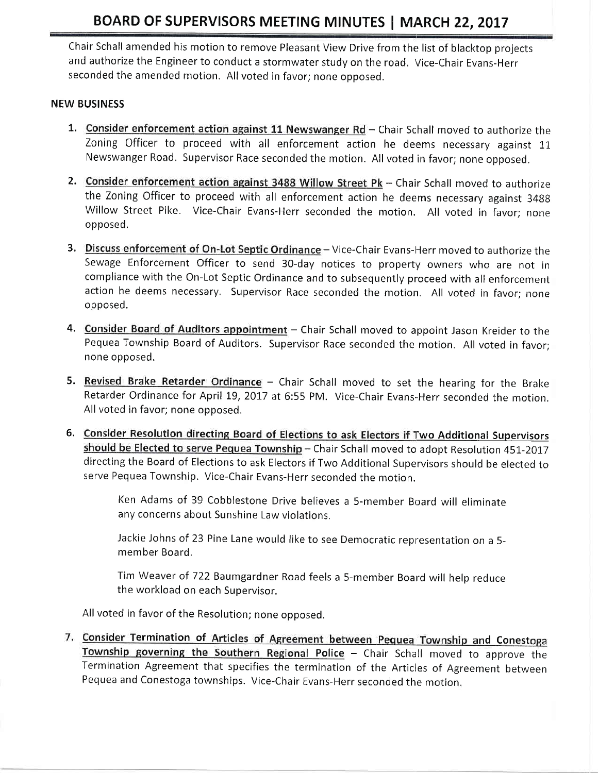Chair Schall amended his motion to remove Pleasant View Drive from the list of blacktop projects and authorize the Engineer to conduct a stormwater study on the road. Vice-Chair Evans-Herr seconded the amended motion. All voted in favor; none opposed.

#### NEW BUSINESS

- 1. Consider enforcement action against 11 Newswanger  $Rd$  Chair Schall moved to authorize the Zoning Officer to proceed with all enforcement action he deems necessary against 11 Newswanger Road. Supervisor Race seconded the motion. All voted in favor; none opposed.
- 2. Consider enforcement action against 3488 Willow Street Pk Chair Schall moved to authorize the Zoning Officer to proceed with all enforcement action he deems necessary against <sup>3488</sup> Willow Street Pike. Vice-Chair Evans-Herr seconded the motion. All voted in favor; none opposed,
- 3. Discuss enforcement of On-Lot Septic Ordinance Vice-Chair Evans-Herr moved to authorize the Sewage Enforcement Officer to send 30-day notices to property owners who are not in compliance with the On-Lot Septic Ordinance and to subsequently proceed with all enforcement action he deems necessary. Supervisor Race seconded the motion. All voted in favor; none opposed.
- 4. Consider Board of Auditors appointment Chair Schall moved to appoint Jason Kreider to the Pequea Township Board of Auditors. Supervisor Race seconded the motion. All voted in favor; none opposed.
- 5. Revised Brake Retarder Ordinance Chair Schall moved to set the hearing for the Brake Retarder Ordinance for April 19, 2017 at 6:55 PM. Vice-Chair Evans-Herr seconded the motion. All voted in favor; none opposed.
- 6. Consider Resolution directing Board of Elections to ask Electors if Two Additional Supervisors should be Elected to serve Pequea Township - Chair Schall moved to adopt Resolution 451-2017 directing the Board of Elections to ask Electors if Two Additional Supervisors should be elected to serve Pequea Township, Vice-chair Evans-Herr seconded the motion.

Ken Adams of 39 Cobblestone Drive believes a 5-member Board will eliminate any concerns about Sunshine Law violations,

Jackie Johns of 23 Pine Lane would like to see Democratic representation on a 5 member Board.

Tim Weaver of 722 Baumgardner Road feels a S-mermber Board will help reduce the workload on each Supervisor.

All voted in favor of the Resolution; none opposed.

7. Consider Termination of Articles of Agreement between Pequea Township and Conestoga Township governing the Southern Regional Police - Chair Schall moved to approve the Termination Agreement that specifies the termination of the Articles of Agreement between Pequea and Conestoga townships. Vice-Chair Evans-Herr seconded the motion.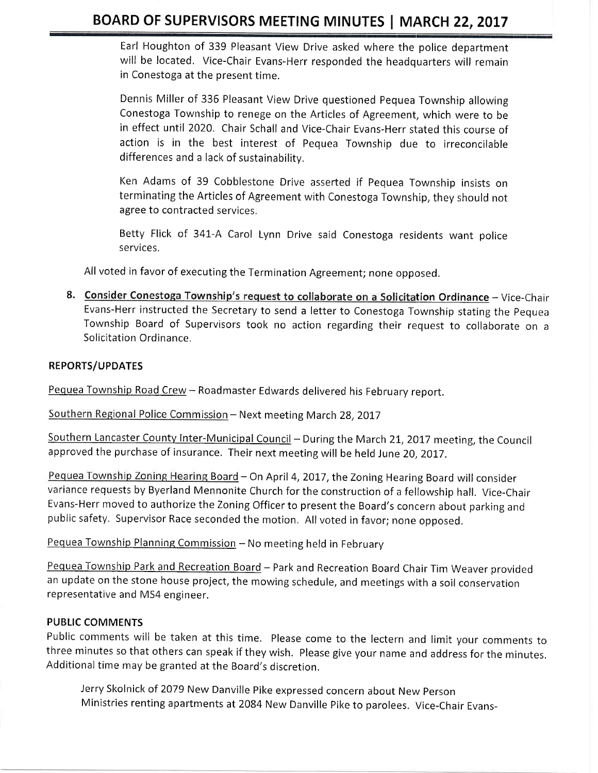Earl Houghton of 339 Pleasant View Drive asked where the police department will be located. Vice-Chair Evans-Herr responded the headquarters will remain in Conestoga at the present time.

Dennis Miller of 336 Pleasant View Drive questioned Pequea Township allowing Conestoga Township to renege on the Articles of Agreement, which were to be in effect until 2020. Chair Schall and Vice-Chair Evans-Herr stated this course of action is in the best interest of Pequea Township due to irreconcilable differences and a lack of sustainability,

Ken Adams of 39 Cobblestone Drive asserted if Pequea Township insists on terminating the Articles of Agreement with Conestoga Township, they should not agree to contracted services,

Betty Flick of 341-A Carol Lynn Drive said Conestoga residents want police services.

All voted in favor of executing the Termination Agreement; none opposed.

8. Consider Conestoga Township's request to collaborate on a Solicitation Ordinance - Vice-Chair Evans-Herr instructed the Secretary to send a letter to Conestoga Township stating the Pequea Township Board of Supervisors took no action regarding their request to collaborate on a Solicitation Ordinance,

#### REPORTS/UPDATES

Pequea Township Road Crew - Roadmaster Edwards delivered his February report.

Southern Regional Police Commission - Next meeting March 28, 2017

Southern Lancaster County Inter-Municipal Council - During the March 21, 2017 meeting, the Council approved the purchase of insurance. Their next meeting will be held June 20, 2017.

Pequea Township Zoning Hearing Board - On April 4, 2017, the Zoning Hearing Board will consider variance requests by Byerland Mennonite Church forthe construction of a fellowship hall. Vice-Chair Evans-Herr moved to authorize the Zoning Officer to present the Board's concern about parking and public safety. Supervisor Race seconded the motion. All voted in favor; none opposed.

Pequea Township Planning Commission - No meeting held in February

Pequea Township Park and Recreation Board - Park and Recreation Board Chair Tim Weaver provided an update on the stone house project, the mowing schedule, and meetings with a soil conservation representative and MS4 engineer.

#### PUBLIC COMMENTS

Public comments will be taken at this time. Please come to the lectern and limit your comments to three minutes so that others can speak if they wish. Please give your name and address for the minutes. Additional time may be granted at the Board's discretion.

Jerry Skolnick of 2079 New Danville Pike expressed concern about New person Ministries renting apartments at 2084 New Danville pike to parolees. Vice-chair Evans-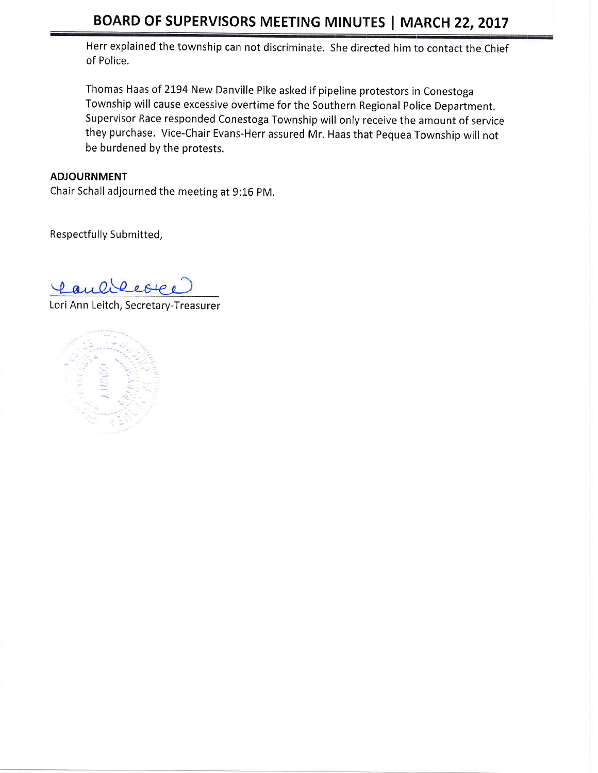Herr explained the township can not discriminate. She directed him to contact the Chief of Police,

Thomas Haas of 2194 New Danville Pike asked if pipeline protestors in Conestoga Township will cause excessive overtime for the Southern Regional Police Department. Supervisor Race responded Conestoga Township will only receive the amount of service they purchase. Vice-Chair Evans-Herr assured Mr. Haas that Pequea Township will not be burdened by the protests.

## ADJOURNMENT

Chair Schall adjourned the meeting at 9:16 pM.

Respectfully Submitted,

Caulifecte

Lori Ann Leitch, Secretary-Treasurer